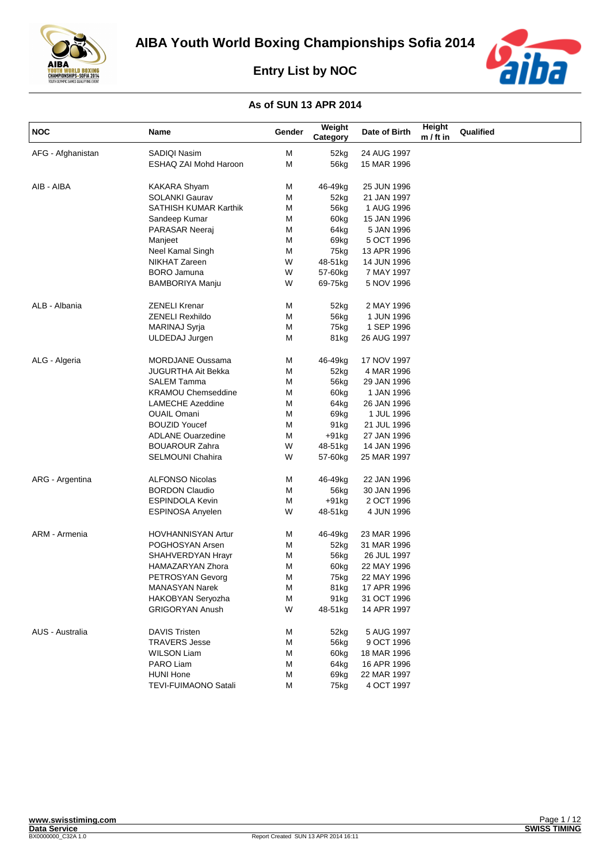



| <b>NOC</b>        | Name                      | Gender | Weight<br>Category | Date of Birth | Height<br>$m / ft$ in | Qualified |
|-------------------|---------------------------|--------|--------------------|---------------|-----------------------|-----------|
| AFG - Afghanistan | SADIQI Nasim              | M      | 52kg               | 24 AUG 1997   |                       |           |
|                   | ESHAQ ZAI Mohd Haroon     | M      | 56kg               | 15 MAR 1996   |                       |           |
|                   |                           |        |                    |               |                       |           |
| AIB - AIBA        | <b>KAKARA Shyam</b>       | M      | 46-49kg            | 25 JUN 1996   |                       |           |
|                   | <b>SOLANKI Gaurav</b>     | M      | 52kg               | 21 JAN 1997   |                       |           |
|                   | SATHISH KUMAR Karthik     | M      | 56kg               | 1 AUG 1996    |                       |           |
|                   | Sandeep Kumar             | M      | 60kg               | 15 JAN 1996   |                       |           |
|                   | PARASAR Neeraj            | M      | 64kg               | 5 JAN 1996    |                       |           |
|                   | Manjeet                   | M      | 69kg               | 5 OCT 1996    |                       |           |
|                   | Neel Kamal Singh          | M      | 75kg               | 13 APR 1996   |                       |           |
|                   | NIKHAT Zareen             | W      | 48-51kg            | 14 JUN 1996   |                       |           |
|                   | <b>BORO</b> Jamuna        | W      | 57-60kg            | 7 MAY 1997    |                       |           |
|                   | BAMBORIYA Manju           | W      | 69-75kg            | 5 NOV 1996    |                       |           |
| ALB - Albania     | <b>ZENELI Krenar</b>      | M      | 52kg               | 2 MAY 1996    |                       |           |
|                   | ZENELI Rexhildo           | M      | 56kg               | 1 JUN 1996    |                       |           |
|                   | MARINAJ Syrja             | M      | 75kg               | 1 SEP 1996    |                       |           |
|                   | ULDEDAJ Jurgen            | M      | 81kg               | 26 AUG 1997   |                       |           |
| ALG - Algeria     | <b>MORDJANE Oussama</b>   | M      | 46-49kg            | 17 NOV 1997   |                       |           |
|                   | JUGURTHA Ait Bekka        | M      | 52kg               | 4 MAR 1996    |                       |           |
|                   | <b>SALEM Tamma</b>        | M      | 56kg               | 29 JAN 1996   |                       |           |
|                   | <b>KRAMOU Chemseddine</b> | M      | 60kg               | 1 JAN 1996    |                       |           |
|                   | <b>LAMECHE Azeddine</b>   | M      | 64kg               | 26 JAN 1996   |                       |           |
|                   | <b>OUAIL Omani</b>        | M      | 69kg               | 1 JUL 1996    |                       |           |
|                   | <b>BOUZID Youcef</b>      | M      | 91 <sub>kg</sub>   | 21 JUL 1996   |                       |           |
|                   | <b>ADLANE Ouarzedine</b>  | M      | +91kg              | 27 JAN 1996   |                       |           |
|                   | <b>BOUAROUR Zahra</b>     | W      | 48-51kg            | 14 JAN 1996   |                       |           |
|                   | <b>SELMOUNI Chahira</b>   | W      | 57-60kg            | 25 MAR 1997   |                       |           |
| ARG - Argentina   | <b>ALFONSO Nicolas</b>    | M      | 46-49kg            | 22 JAN 1996   |                       |           |
|                   | <b>BORDON Claudio</b>     | М      | 56kg               | 30 JAN 1996   |                       |           |
|                   | <b>ESPINDOLA Kevin</b>    | M      | $+91kg$            | 2 OCT 1996    |                       |           |
|                   | <b>ESPINOSA Anyelen</b>   | W      | 48-51kg            | 4 JUN 1996    |                       |           |
| ARM - Armenia     | <b>HOVHANNISYAN Artur</b> | M      | 46-49kg            | 23 MAR 1996   |                       |           |
|                   | POGHOSYAN Arsen           | M      | 52kg               | 31 MAR 1996   |                       |           |
|                   | SHAHVERDYAN Hrayr         | M      | 56kg               | 26 JUL 1997   |                       |           |
|                   | HAMAZARYAN Zhora          | M      | 60kg               | 22 MAY 1996   |                       |           |
|                   | PETROSYAN Gevorg          | M      | 75kg               | 22 MAY 1996   |                       |           |
|                   | <b>MANASYAN Narek</b>     | М      | 81kg               | 17 APR 1996   |                       |           |
|                   | HAKOBYAN Seryozha         | M      | 91kg               | 31 OCT 1996   |                       |           |
|                   | <b>GRIGORYAN Anush</b>    | W      | 48-51kg            | 14 APR 1997   |                       |           |
| AUS - Australia   | <b>DAVIS Tristen</b>      | M      | 52kg               | 5 AUG 1997    |                       |           |
|                   | <b>TRAVERS Jesse</b>      | M      | 56kg               | 9 OCT 1996    |                       |           |
|                   | <b>WILSON Liam</b>        | M      | 60kg               | 18 MAR 1996   |                       |           |
|                   | PARO Liam                 | M      | 64kg               | 16 APR 1996   |                       |           |
|                   | <b>HUNI Hone</b>          | M      | 69kg               | 22 MAR 1997   |                       |           |
|                   | TEVI-FUIMAONO Satali      | M      | 75kg               | 4 OCT 1997    |                       |           |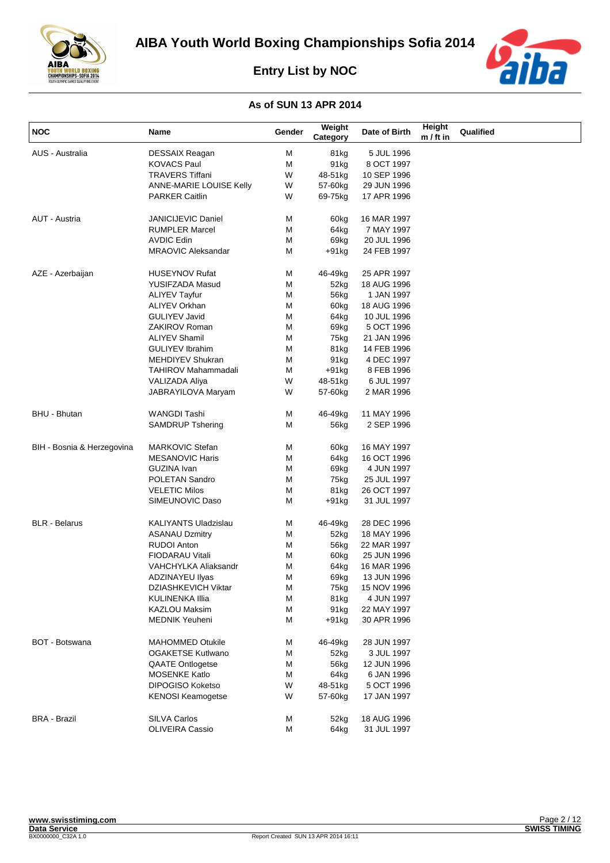

aiba

**Entry List by NOC**

| <b>NOC</b>                 | Name                        | Gender | Weight<br>Category | Date of Birth              | Height<br>$m / ft$ in | Qualified |
|----------------------------|-----------------------------|--------|--------------------|----------------------------|-----------------------|-----------|
| AUS - Australia            | <b>DESSAIX Reagan</b>       | M      | 81kg               | 5 JUL 1996                 |                       |           |
|                            | <b>KOVACS Paul</b>          | М      | 91kg               | 8 OCT 1997                 |                       |           |
|                            | <b>TRAVERS Tiffani</b>      | W      | 48-51kg            | 10 SEP 1996                |                       |           |
|                            | ANNE-MARIE LOUISE Kelly     | W      | 57-60kg            | 29 JUN 1996                |                       |           |
|                            | <b>PARKER Caitlin</b>       | W      | 69-75kg            | 17 APR 1996                |                       |           |
|                            |                             |        |                    |                            |                       |           |
| AUT - Austria              | <b>JANICIJEVIC Daniel</b>   | м      | 60kg               | 16 MAR 1997                |                       |           |
|                            | <b>RUMPLER Marcel</b>       | М      | 64kg               | 7 MAY 1997                 |                       |           |
|                            | <b>AVDIC Edin</b>           | М      | 69kg               | 20 JUL 1996                |                       |           |
|                            | <b>MRAOVIC Aleksandar</b>   | м      | +91kg              | 24 FEB 1997                |                       |           |
| AZE - Azerbaijan           | <b>HUSEYNOV Rufat</b>       | м      | 46-49kg            | 25 APR 1997                |                       |           |
|                            | YUSIFZADA Masud             | м      | 52kg               | 18 AUG 1996                |                       |           |
|                            | <b>ALIYEV Tayfur</b>        | м      | 56kg               | 1 JAN 1997                 |                       |           |
|                            | <b>ALIYEV Orkhan</b>        | м      | 60kg               | 18 AUG 1996                |                       |           |
|                            | <b>GULIYEV Javid</b>        | М      | 64kg               | 10 JUL 1996                |                       |           |
|                            | ZAKIROV Roman               | М      | 69kg               | 5 OCT 1996                 |                       |           |
|                            | <b>ALIYEV Shamil</b>        | М      | 75kg               | 21 JAN 1996                |                       |           |
|                            | <b>GULIYEV Ibrahim</b>      | м      | 81kg               | 14 FEB 1996                |                       |           |
|                            | MEHDIYEV Shukran            | М      | 91kg               | 4 DEC 1997                 |                       |           |
|                            | <b>TAHIROV Mahammadali</b>  | м      | +91kg              | 8 FEB 1996                 |                       |           |
|                            | <b>VALIZADA Aliya</b>       | W      | 48-51kg            | 6 JUL 1997                 |                       |           |
|                            | JABRAYILOVA Maryam          | W      | 57-60kg            | 2 MAR 1996                 |                       |           |
| <b>BHU - Bhutan</b>        | WANGDI Tashi                | м      | 46-49kg            | 11 MAY 1996                |                       |           |
|                            | <b>SAMDRUP Tshering</b>     | м      | 56kg               | 2 SEP 1996                 |                       |           |
| BIH - Bosnia & Herzegovina | <b>MARKOVIC Stefan</b>      | м      | 60kg               | 16 MAY 1997                |                       |           |
|                            | <b>MESANOVIC Haris</b>      | М      | 64kg               | 16 OCT 1996                |                       |           |
|                            | GUZINA Ivan                 | м      | 69kg               | 4 JUN 1997                 |                       |           |
|                            | POLETAN Sandro              | М      | 75kg               | 25 JUL 1997                |                       |           |
|                            | <b>VELETIC Milos</b>        | М      | 81kg               | 26 OCT 1997                |                       |           |
|                            | SIMEUNOVIC Daso             | м      | +91kg              | 31 JUL 1997                |                       |           |
| <b>BLR</b> - Belarus       | <b>KALIYANTS Uladzislau</b> | м      | 46-49kg            | 28 DEC 1996                |                       |           |
|                            | <b>ASANAU Dzmitry</b>       | м      | 52kg               | 18 MAY 1996                |                       |           |
|                            | <b>RUDOI Anton</b>          | м      | 56kg               | 22 MAR 1997                |                       |           |
|                            | <b>FIODARAU Vitali</b>      | М      | 60kg               | 25 JUN 1996                |                       |           |
|                            | VAHCHYLKA Aliaksandr        | М      | 64kg               | 16 MAR 1996                |                       |           |
|                            | ADZINAYEU Ilyas             | М      | 69kg               | 13 JUN 1996                |                       |           |
|                            | <b>DZIASHKEVICH Viktar</b>  | M      | 75kg               | 15 NOV 1996                |                       |           |
|                            | KULINENKA IIIia             | M      | 81kg               | 4 JUN 1997                 |                       |           |
|                            | KAZLOU Maksim               | М      | 91kg               | 22 MAY 1997                |                       |           |
|                            | <b>MEDNIK Yeuheni</b>       | М      | $+91kg$            | 30 APR 1996                |                       |           |
| <b>BOT - Botswana</b>      | <b>MAHOMMED Otukile</b>     | М      | 46-49kg            | 28 JUN 1997                |                       |           |
|                            | <b>OGAKETSE Kutlwano</b>    | М      | 52kg               | 3 JUL 1997                 |                       |           |
|                            | <b>QAATE Ontlogetse</b>     | М      | 56kg               | 12 JUN 1996                |                       |           |
|                            | <b>MOSENKE Katlo</b>        | М      | 64kg               | 6 JAN 1996                 |                       |           |
|                            | <b>DIPOGISO Koketso</b>     | W      | 48-51kg            | 5 OCT 1996                 |                       |           |
|                            | <b>KENOSI Keamogetse</b>    | W      | 57-60kg            | 17 JAN 1997                |                       |           |
| <b>BRA - Brazil</b>        | SILVA Carlos                |        |                    |                            |                       |           |
|                            | OLIVEIRA Cassio             | M<br>M | 52kg<br>64kg       | 18 AUG 1996<br>31 JUL 1997 |                       |           |
|                            |                             |        |                    |                            |                       |           |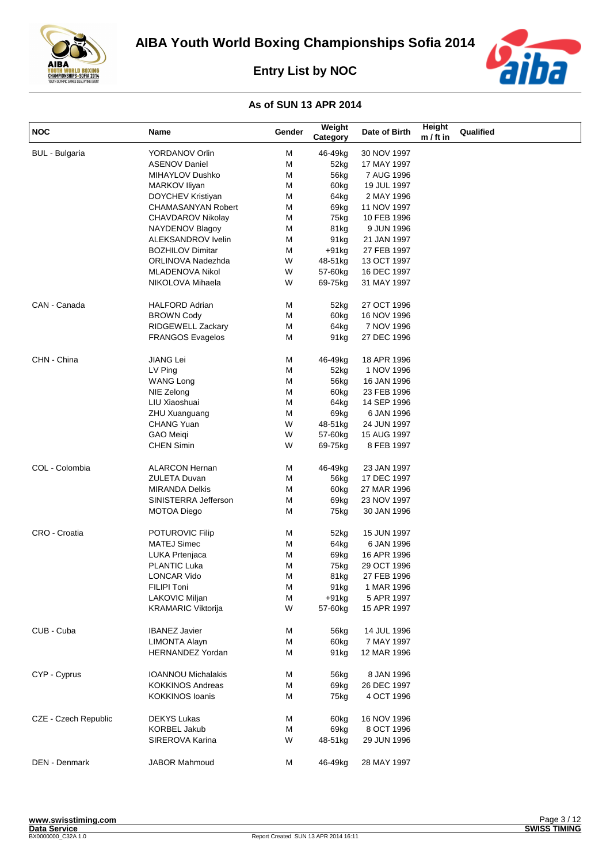



| <b>NOC</b>            | Name                      | Gender | Weight<br>Category | Date of Birth | Height<br>$m / ft$ in | Qualified |
|-----------------------|---------------------------|--------|--------------------|---------------|-----------------------|-----------|
| <b>BUL</b> - Bulgaria | <b>YORDANOV Orlin</b>     | M      | 46-49kg            | 30 NOV 1997   |                       |           |
|                       | <b>ASENOV Daniel</b>      | м      | 52kg               | 17 MAY 1997   |                       |           |
|                       | MIHAYLOV Dushko           | М      | 56kg               | 7 AUG 1996    |                       |           |
|                       | MARKOV Iliyan             | м      | 60kg               | 19 JUL 1997   |                       |           |
|                       | DOYCHEV Kristiyan         | М      | 64kg               | 2 MAY 1996    |                       |           |
|                       | <b>CHAMASANYAN Robert</b> | м      | 69kg               | 11 NOV 1997   |                       |           |
|                       | CHAVDAROV Nikolay         | М      | 75kg               | 10 FEB 1996   |                       |           |
|                       | NAYDENOV Blagoy           | М      | 81kg               | 9 JUN 1996    |                       |           |
|                       | ALEKSANDROV Ivelin        | М      | 91 <sub>kg</sub>   | 21 JAN 1997   |                       |           |
|                       | <b>BOZHILOV Dimitar</b>   | м      | $+91kg$            | 27 FEB 1997   |                       |           |
|                       | ORLINOVA Nadezhda         | W      | 48-51kg            | 13 OCT 1997   |                       |           |
|                       | <b>MLADENOVA Nikol</b>    | W      | 57-60kg            | 16 DEC 1997   |                       |           |
|                       | NIKOLOVA Mihaela          | W      | 69-75kg            | 31 MAY 1997   |                       |           |
|                       |                           |        |                    |               |                       |           |
| CAN - Canada          | HALFORD Adrian            | м      | 52kg               | 27 OCT 1996   |                       |           |
|                       | <b>BROWN Cody</b>         | м      | 60kg               | 16 NOV 1996   |                       |           |
|                       | <b>RIDGEWELL Zackary</b>  | М      | 64kg               | 7 NOV 1996    |                       |           |
|                       | <b>FRANGOS Evagelos</b>   | м      | 91 <sub>kg</sub>   | 27 DEC 1996   |                       |           |
| CHN - China           | <b>JIANG Lei</b>          | M      | 46-49kg            | 18 APR 1996   |                       |           |
|                       | LV Ping                   | м      | 52kg               | 1 NOV 1996    |                       |           |
|                       | <b>WANG Long</b>          | М      | 56kg               | 16 JAN 1996   |                       |           |
|                       | NIE Zelong                | м      | 60kg               | 23 FEB 1996   |                       |           |
|                       | LIU Xiaoshuai             | м      | 64kg               | 14 SEP 1996   |                       |           |
|                       | ZHU Xuanguang             | м      | 69kg               | 6 JAN 1996    |                       |           |
|                       | <b>CHANG Yuan</b>         | W      | 48-51kg            | 24 JUN 1997   |                       |           |
|                       | <b>GAO Meigi</b>          | W      | 57-60kg            | 15 AUG 1997   |                       |           |
|                       | <b>CHEN Simin</b>         | W      | 69-75kg            | 8 FEB 1997    |                       |           |
| COL - Colombia        | <b>ALARCON Hernan</b>     | м      | 46-49kg            | 23 JAN 1997   |                       |           |
|                       | <b>ZULETA Duvan</b>       | м      | 56kg               | 17 DEC 1997   |                       |           |
|                       | <b>MIRANDA Delkis</b>     | м      | 60kg               | 27 MAR 1996   |                       |           |
|                       | SINISTERRA Jefferson      | М      | 69kg               | 23 NOV 1997   |                       |           |
|                       | <b>MOTOA Diego</b>        | М      | 75kg               | 30 JAN 1996   |                       |           |
| CRO - Croatia         | POTUROVIC Filip           | м      | 52kg               | 15 JUN 1997   |                       |           |
|                       | <b>MATEJ Simec</b>        | М      | 64kg               | 6 JAN 1996    |                       |           |
|                       | LUKA Prtenjaca            | м      | 69kg               | 16 APR 1996   |                       |           |
|                       | <b>PLANTIC Luka</b>       | M      | 75kg               | 29 OCT 1996   |                       |           |
|                       | <b>LONCAR Vido</b>        | M      | 81kg               | 27 FEB 1996   |                       |           |
|                       | FILIPI Toni               | M      | 91 <sub>kg</sub>   | 1 MAR 1996    |                       |           |
|                       | LAKOVIC Miljan            | М      | $+91kg$            | 5 APR 1997    |                       |           |
|                       | <b>KRAMARIC Viktorija</b> | W      | 57-60kg            | 15 APR 1997   |                       |           |
| CUB - Cuba            | <b>IBANEZ Javier</b>      | м      | 56kg               | 14 JUL 1996   |                       |           |
|                       | <b>LIMONTA Alayn</b>      | M      | 60kg               | 7 MAY 1997    |                       |           |
|                       | <b>HERNANDEZ Yordan</b>   | М      | 91 <sub>kg</sub>   | 12 MAR 1996   |                       |           |
| CYP - Cyprus          | <b>IOANNOU Michalakis</b> | м      | 56kg               | 8 JAN 1996    |                       |           |
|                       | <b>KOKKINOS Andreas</b>   | М      | 69kg               | 26 DEC 1997   |                       |           |
|                       | <b>KOKKINOS loanis</b>    | м      | 75kg               | 4 OCT 1996    |                       |           |
| CZE - Czech Republic  | <b>DEKYS Lukas</b>        | м      | 60kg               | 16 NOV 1996   |                       |           |
|                       | <b>KORBEL Jakub</b>       | М      | 69kg               | 8 OCT 1996    |                       |           |
|                       | SIREROVA Karina           | W      | 48-51kg            | 29 JUN 1996   |                       |           |
| DEN - Denmark         | JABOR Mahmoud             | м      | 46-49kg            | 28 MAY 1997   |                       |           |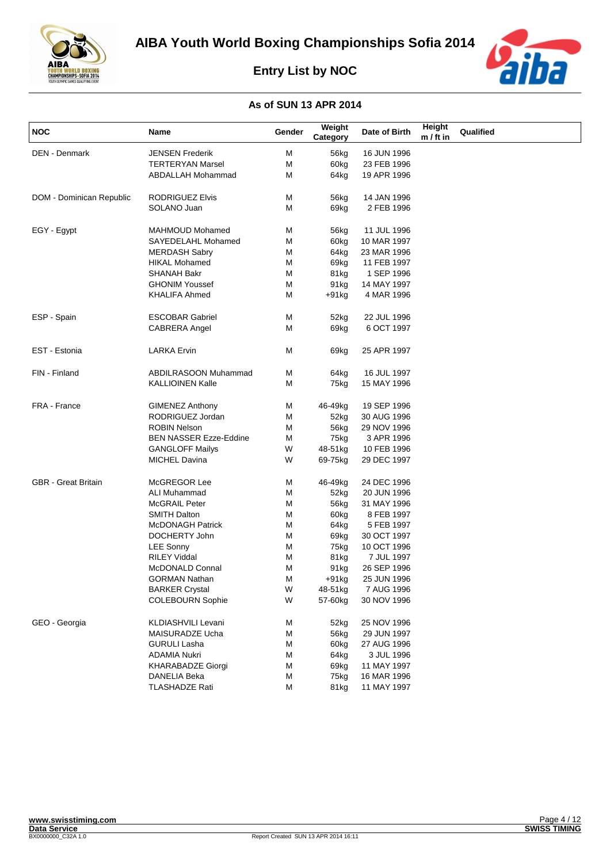



| <b>NOC</b>                 | Name                          | Gender | Weight<br>Category | Date of Birth | Height<br>$m / ft$ in | Qualified |
|----------------------------|-------------------------------|--------|--------------------|---------------|-----------------------|-----------|
| <b>DEN - Denmark</b>       | <b>JENSEN Frederik</b>        | M      | 56kg               | 16 JUN 1996   |                       |           |
|                            | <b>TERTERYAN Marsel</b>       | М      | 60kg               | 23 FEB 1996   |                       |           |
|                            | ABDALLAH Mohammad             | м      | 64kg               | 19 APR 1996   |                       |           |
| DOM - Dominican Republic   | <b>RODRIGUEZ Elvis</b>        | М      | 56kg               | 14 JAN 1996   |                       |           |
|                            | SOLANO Juan                   | м      | 69kg               | 2 FEB 1996    |                       |           |
| EGY - Egypt                | MAHMOUD Mohamed               | Μ      | 56kg               | 11 JUL 1996   |                       |           |
|                            | SAYEDELAHL Mohamed            | Μ      | 60kg               | 10 MAR 1997   |                       |           |
|                            | <b>MERDASH Sabry</b>          | Μ      | 64kg               | 23 MAR 1996   |                       |           |
|                            | <b>HIKAL Mohamed</b>          | Μ      | 69kg               | 11 FEB 1997   |                       |           |
|                            | <b>SHANAH Bakr</b>            | Μ      | 81kg               | 1 SEP 1996    |                       |           |
|                            | <b>GHONIM Youssef</b>         | Μ      | 91 <sub>kg</sub>   | 14 MAY 1997   |                       |           |
|                            | <b>KHALIFA Ahmed</b>          | м      | $+91kg$            | 4 MAR 1996    |                       |           |
| ESP - Spain                | <b>ESCOBAR Gabriel</b>        | м      | 52kg               | 22 JUL 1996   |                       |           |
|                            | <b>CABRERA Angel</b>          | м      | 69kg               | 6 OCT 1997    |                       |           |
| EST - Estonia              | <b>LARKA Ervin</b>            | м      | 69kg               | 25 APR 1997   |                       |           |
| FIN - Finland              | ABDILRASOON Muhammad          | Μ      | 64kg               | 16 JUL 1997   |                       |           |
|                            | <b>KALLIOINEN Kalle</b>       | м      | 75kg               | 15 MAY 1996   |                       |           |
| FRA - France               | <b>GIMENEZ Anthony</b>        | М      | 46-49kg            | 19 SEP 1996   |                       |           |
|                            | RODRIGUEZ Jordan              | М      | 52kg               | 30 AUG 1996   |                       |           |
|                            | <b>ROBIN Nelson</b>           | М      | 56kg               | 29 NOV 1996   |                       |           |
|                            | <b>BEN NASSER Ezze-Eddine</b> | м      | 75kg               | 3 APR 1996    |                       |           |
|                            | <b>GANGLOFF Mailys</b>        | W      | 48-51kg            | 10 FEB 1996   |                       |           |
|                            | <b>MICHEL Davina</b>          | W      | 69-75kg            | 29 DEC 1997   |                       |           |
| <b>GBR</b> - Great Britain | McGREGOR Lee                  | М      | 46-49kg            | 24 DEC 1996   |                       |           |
|                            | ALI Muhammad                  | м      | 52kg               | 20 JUN 1996   |                       |           |
|                            | <b>McGRAIL Peter</b>          | М      | 56kg               | 31 MAY 1996   |                       |           |
|                            | <b>SMITH Dalton</b>           | Μ      | 60kg               | 8 FEB 1997    |                       |           |
|                            | <b>McDONAGH Patrick</b>       | м      | 64kg               | 5 FEB 1997    |                       |           |
|                            | DOCHERTY John                 | м      | 69kg               | 30 OCT 1997   |                       |           |
|                            | <b>LEE Sonny</b>              | М      | 75kg               | 10 OCT 1996   |                       |           |
|                            | <b>RILEY Viddal</b>           | М      | 81kg               | 7 JUL 1997    |                       |           |
|                            | McDONALD Connal               | M      | 91kg               | 26 SEP 1996   |                       |           |
|                            | GORMAN Nathan                 | м      | +91kg              | 25 JUN 1996   |                       |           |
|                            | <b>BARKER Crystal</b>         | W      | 48-51kg            | 7 AUG 1996    |                       |           |
|                            | <b>COLEBOURN Sophie</b>       | W      | 57-60kg            | 30 NOV 1996   |                       |           |
| GEO - Georgia              | KLDIASHVILI Levani            | M      | 52kg               | 25 NOV 1996   |                       |           |
|                            | MAISURADZE Ucha               | Μ      | 56kg               | 29 JUN 1997   |                       |           |
|                            | <b>GURULI Lasha</b>           | М      | 60kg               | 27 AUG 1996   |                       |           |
|                            | <b>ADAMIA Nukri</b>           | Μ      | 64kg               | 3 JUL 1996    |                       |           |
|                            | <b>KHARABADZE Giorgi</b>      | Μ      | 69kg               | 11 MAY 1997   |                       |           |
|                            | DANELIA Beka                  | М      | 75kg               | 16 MAR 1996   |                       |           |
|                            | <b>TLASHADZE Rati</b>         | М      | 81kg               | 11 MAY 1997   |                       |           |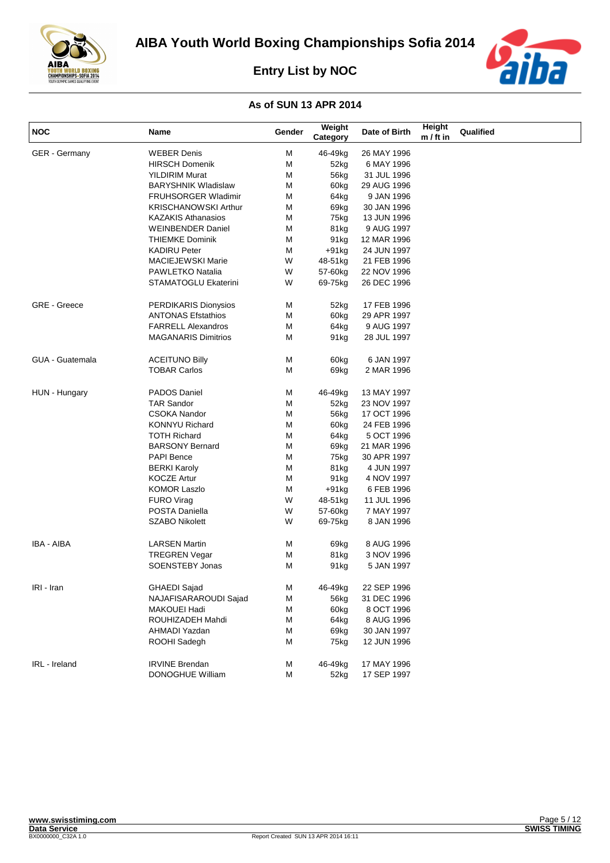



| <b>NOC</b>             | Name                        | Gender | Weight<br>Category | Date of Birth | Height<br>$m / ft$ in | Qualified |
|------------------------|-----------------------------|--------|--------------------|---------------|-----------------------|-----------|
| GER - Germany          | <b>WEBER Denis</b>          | М      | 46-49kg            | 26 MAY 1996   |                       |           |
|                        | <b>HIRSCH Domenik</b>       | М      | 52kg               | 6 MAY 1996    |                       |           |
|                        | <b>YILDIRIM Murat</b>       | М      | 56kg               | 31 JUL 1996   |                       |           |
|                        | <b>BARYSHNIK Wladislaw</b>  | М      | 60kg               | 29 AUG 1996   |                       |           |
|                        | <b>FRUHSORGER Wladimir</b>  | м      | 64kg               | 9 JAN 1996    |                       |           |
|                        | <b>KRISCHANOWSKI Arthur</b> | М      | 69kg               | 30 JAN 1996   |                       |           |
|                        | <b>KAZAKIS Athanasios</b>   | М      | 75kg               | 13 JUN 1996   |                       |           |
|                        | <b>WEINBENDER Daniel</b>    | М      | 81kg               | 9 AUG 1997    |                       |           |
|                        | <b>THIEMKE Dominik</b>      | М      | 91 <sub>kg</sub>   | 12 MAR 1996   |                       |           |
|                        | <b>KADIRU Peter</b>         | М      | $+91kg$            | 24 JUN 1997   |                       |           |
|                        | <b>MACIEJEWSKI Marie</b>    | W      | 48-51kg            | 21 FEB 1996   |                       |           |
|                        | PAWLETKO Natalia            | W      | 57-60kg            | 22 NOV 1996   |                       |           |
|                        | STAMATOGLU Ekaterini        | W      | 69-75kg            | 26 DEC 1996   |                       |           |
| <b>GRE - Greece</b>    | PERDIKARIS Dionysios        | М      | 52kg               | 17 FEB 1996   |                       |           |
|                        | <b>ANTONAS Efstathios</b>   | М      | 60kg               | 29 APR 1997   |                       |           |
|                        | <b>FARRELL Alexandros</b>   | М      | 64kg               | 9 AUG 1997    |                       |           |
|                        | <b>MAGANARIS Dimitrios</b>  | М      | 91 <sub>kg</sub>   | 28 JUL 1997   |                       |           |
| <b>GUA - Guatemala</b> | <b>ACEITUNO Billy</b>       | М      | 60kg               | 6 JAN 1997    |                       |           |
|                        | <b>TOBAR Carlos</b>         | М      | 69kg               | 2 MAR 1996    |                       |           |
| HUN - Hungary          | PADOS Daniel                | М      | 46-49kg            | 13 MAY 1997   |                       |           |
|                        | <b>TAR Sandor</b>           | Μ      | 52kg               | 23 NOV 1997   |                       |           |
|                        | <b>CSOKA Nandor</b>         | М      | 56kg               | 17 OCT 1996   |                       |           |
|                        | <b>KONNYU Richard</b>       | М      | 60kg               | 24 FEB 1996   |                       |           |
|                        | <b>TOTH Richard</b>         | М      | 64kg               | 5 OCT 1996    |                       |           |
|                        | <b>BARSONY Bernard</b>      | М      | 69kg               | 21 MAR 1996   |                       |           |
|                        | <b>PAPI Bence</b>           | М      | 75kg               | 30 APR 1997   |                       |           |
|                        | <b>BERKI Karoly</b>         | М      | 81kg               | 4 JUN 1997    |                       |           |
|                        | <b>KOCZE Artur</b>          | М      | 91kg               | 4 NOV 1997    |                       |           |
|                        | <b>KOMOR Laszlo</b>         | М      | $+91kg$            | 6 FEB 1996    |                       |           |
|                        | <b>FURO Virag</b>           | W      | 48-51kg            | 11 JUL 1996   |                       |           |
|                        | POSTA Daniella              | W      | 57-60kg            | 7 MAY 1997    |                       |           |
|                        | <b>SZABO Nikolett</b>       | W      | 69-75kg            | 8 JAN 1996    |                       |           |
| IBA - AIBA             | <b>LARSEN Martin</b>        | М      | 69kg               | 8 AUG 1996    |                       |           |
|                        | <b>TREGREN Vegar</b>        | М      | 81kg               | 3 NOV 1996    |                       |           |
|                        | <b>SOENSTEBY Jonas</b>      | М      | 91 <sub>kg</sub>   | 5 JAN 1997    |                       |           |
| IRI - Iran             | <b>GHAEDI Sajad</b>         | М      | 46-49kg            | 22 SEP 1996   |                       |           |
|                        | NAJAFISARAROUDI Sajad       | М      | 56kg               | 31 DEC 1996   |                       |           |
|                        | MAKOUEI Hadi                | М      | 60kg               | 8 OCT 1996    |                       |           |
|                        | ROUHIZADEH Mahdi            | М      | 64kg               | 8 AUG 1996    |                       |           |
|                        | AHMADI Yazdan               | М      | 69kg               | 30 JAN 1997   |                       |           |
|                        | ROOHI Sadegh                | М      | 75kg               | 12 JUN 1996   |                       |           |
| IRL - Ireland          | <b>IRVINE Brendan</b>       | М      | 46-49kg            | 17 MAY 1996   |                       |           |
|                        | DONOGHUE William            | М      | 52kg               | 17 SEP 1997   |                       |           |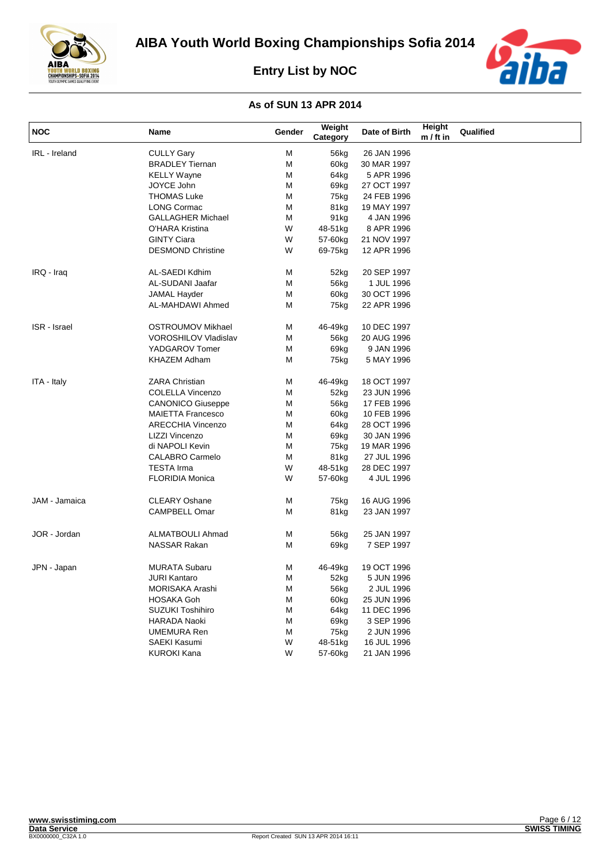



| <b>NOC</b>          | Name                        | Gender | Weight<br>Category | Date of Birth | Height<br>$m / ft$ in | Qualified |
|---------------------|-----------------------------|--------|--------------------|---------------|-----------------------|-----------|
| IRL - Ireland       | <b>CULLY Gary</b>           | М      | 56kg               | 26 JAN 1996   |                       |           |
|                     | <b>BRADLEY Tiernan</b>      | M      | 60 <sub>kg</sub>   | 30 MAR 1997   |                       |           |
|                     | <b>KELLY Wayne</b>          | M      | 64kg               | 5 APR 1996    |                       |           |
|                     | JOYCE John                  | M      | 69kg               | 27 OCT 1997   |                       |           |
|                     | <b>THOMAS Luke</b>          | М      | 75kg               | 24 FEB 1996   |                       |           |
|                     | <b>LONG Cormac</b>          | М      | 81kg               | 19 MAY 1997   |                       |           |
|                     | <b>GALLAGHER Michael</b>    | M      | 91 <sub>kg</sub>   | 4 JAN 1996    |                       |           |
|                     | O'HARA Kristina             | W      | 48-51kg            | 8 APR 1996    |                       |           |
|                     | <b>GINTY Ciara</b>          | W      | 57-60kg            | 21 NOV 1997   |                       |           |
|                     | <b>DESMOND Christine</b>    | W      | 69-75kg            | 12 APR 1996   |                       |           |
| IRQ - Iraq          | AL-SAEDI Kdhim              | М      | 52kg               | 20 SEP 1997   |                       |           |
|                     | AL-SUDANI Jaafar            | M      | 56kg               | 1 JUL 1996    |                       |           |
|                     | <b>JAMAL Hayder</b>         | M      | 60kg               | 30 OCT 1996   |                       |           |
|                     | AL-MAHDAWI Ahmed            | М      | 75kg               | 22 APR 1996   |                       |           |
| <b>ISR</b> - Israel | OSTROUMOV Mikhael           | М      | 46-49kg            | 10 DEC 1997   |                       |           |
|                     | <b>VOROSHILOV Vladislav</b> | М      | 56kg               | 20 AUG 1996   |                       |           |
|                     | YADGAROV Tomer              | М      | 69 <sub>kg</sub>   | 9 JAN 1996    |                       |           |
|                     | <b>KHAZEM Adham</b>         | М      | 75kg               | 5 MAY 1996    |                       |           |
| ITA - Italy         | <b>ZARA Christian</b>       | М      | 46-49kg            | 18 OCT 1997   |                       |           |
|                     | COLELLA Vincenzo            | М      | 52kg               | 23 JUN 1996   |                       |           |
|                     | <b>CANONICO Giuseppe</b>    | М      | 56kg               | 17 FEB 1996   |                       |           |
|                     | <b>MAIETTA Francesco</b>    | M      | 60kg               | 10 FEB 1996   |                       |           |
|                     | <b>ARECCHIA Vincenzo</b>    | M      | 64kg               | 28 OCT 1996   |                       |           |
|                     | LIZZI Vincenzo              | M      | 69kg               | 30 JAN 1996   |                       |           |
|                     | di NAPOLI Kevin             | М      | 75kg               | 19 MAR 1996   |                       |           |
|                     | <b>CALABRO Carmelo</b>      | М      | 81kg               | 27 JUL 1996   |                       |           |
|                     | <b>TESTA Irma</b>           | W      | 48-51kg            | 28 DEC 1997   |                       |           |
|                     | <b>FLORIDIA Monica</b>      | W      | 57-60kg            | 4 JUL 1996    |                       |           |
| JAM - Jamaica       | <b>CLEARY Oshane</b>        | м      | 75kg               | 16 AUG 1996   |                       |           |
|                     | <b>CAMPBELL Omar</b>        | M      | 81kg               | 23 JAN 1997   |                       |           |
| JOR - Jordan        | <b>ALMATBOULI Ahmad</b>     | М      | 56kg               | 25 JAN 1997   |                       |           |
|                     | <b>NASSAR Rakan</b>         | М      | 69kg               | 7 SEP 1997    |                       |           |
| JPN - Japan         | <b>MURATA Subaru</b>        | м      | 46-49kg            | 19 OCT 1996   |                       |           |
|                     | <b>JURI Kantaro</b>         | М      | 52kg               | 5 JUN 1996    |                       |           |
|                     | <b>MORISAKA Arashi</b>      | М      | 56kg               | 2 JUL 1996    |                       |           |
|                     | <b>HOSAKA Goh</b>           | М      | 60 <sub>kg</sub>   | 25 JUN 1996   |                       |           |
|                     | <b>SUZUKI Toshihiro</b>     | М      | 64kg               | 11 DEC 1996   |                       |           |
|                     | <b>HARADA Naoki</b>         | M      | 69kg               | 3 SEP 1996    |                       |           |
|                     | <b>UMEMURA Ren</b>          | M      | 75kg               | 2 JUN 1996    |                       |           |
|                     | <b>SAEKI Kasumi</b>         | W      | 48-51kg            | 16 JUL 1996   |                       |           |
|                     | <b>KUROKI Kana</b>          | W      | 57-60kg            | 21 JAN 1996   |                       |           |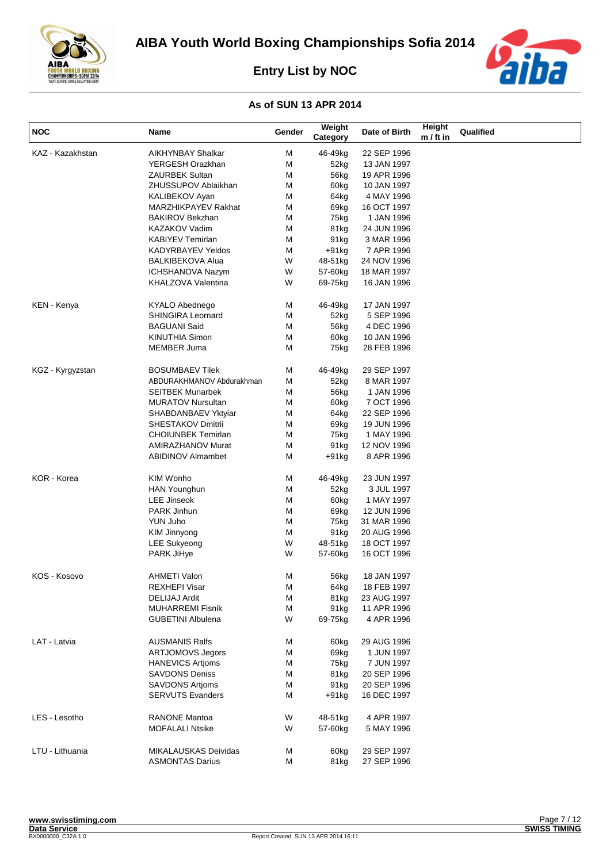



| <b>NOC</b>       | Name                                | Gender | Weight<br>Category | Date of Birth              | Height<br>$m / ft$ in | Qualified |
|------------------|-------------------------------------|--------|--------------------|----------------------------|-----------------------|-----------|
| KAZ - Kazakhstan | <b>AIKHYNBAY Shalkar</b>            | M      | 46-49kg            | 22 SEP 1996                |                       |           |
|                  | YERGESH Orazkhan                    | М      | 52kg               | 13 JAN 1997                |                       |           |
|                  | <b>ZAURBEK Sultan</b>               | М      | 56kg               | 19 APR 1996                |                       |           |
|                  | ZHUSSUPOV Ablaikhan                 | М      | 60kg               | 10 JAN 1997                |                       |           |
|                  | KALIBEKOV Ayan                      | М      | 64kg               | 4 MAY 1996                 |                       |           |
|                  | MARZHIKPAYEV Rakhat                 | М      | 69kg               | 16 OCT 1997                |                       |           |
|                  | <b>BAKIROV Bekzhan</b>              | М      | 75kg               | 1 JAN 1996                 |                       |           |
|                  | <b>KAZAKOV Vadim</b>                | М      | 81kg               | 24 JUN 1996                |                       |           |
|                  | <b>KABIYEV Temirlan</b>             | М      | 91 <sub>kg</sub>   | 3 MAR 1996                 |                       |           |
|                  | <b>KADYRBAYEV Yeldos</b>            | М      | $+91kg$            | 7 APR 1996                 |                       |           |
|                  | <b>BALKIBEKOVA Alua</b>             | W      | 48-51kg            | 24 NOV 1996                |                       |           |
|                  | ICHSHANOVA Nazym                    | W      | 57-60kg            | 18 MAR 1997                |                       |           |
|                  | KHALZOVA Valentina                  | W      | 69-75kg            | 16 JAN 1996                |                       |           |
|                  |                                     |        |                    |                            |                       |           |
| KEN - Kenya      | KYALO Abednego                      | М      | 46-49kg            | 17 JAN 1997                |                       |           |
|                  | SHINGIRA Leornard                   | М      | 52kg               | 5 SEP 1996                 |                       |           |
|                  | <b>BAGUANI Said</b>                 | М      | 56kg               | 4 DEC 1996                 |                       |           |
|                  | <b>KINUTHIA Simon</b>               | М      | 60kg               | 10 JAN 1996                |                       |           |
|                  | <b>MEMBER Juma</b>                  | М      | 75kg               | 28 FEB 1996                |                       |           |
| KGZ - Kyrgyzstan | <b>BOSUMBAEV Tilek</b>              | М      | 46-49kg            | 29 SEP 1997                |                       |           |
|                  | ABDURAKHMANOV Abdurakhman           | М      | 52kg               | 8 MAR 1997                 |                       |           |
|                  | <b>SEITBEK Munarbek</b>             | М      | 56kg               | 1 JAN 1996                 |                       |           |
|                  | <b>MURATOV Nursultan</b>            | М      | 60kg               | 7 OCT 1996                 |                       |           |
|                  | SHABDANBAEV Yktyiar                 | М      | 64kg               | 22 SEP 1996                |                       |           |
|                  | SHESTAKOV Dmitrii                   | М      | 69kg               | 19 JUN 1996                |                       |           |
|                  | <b>CHOIUNBEK Temirlan</b>           | М      | 75kg               | 1 MAY 1996                 |                       |           |
|                  | <b>AMIRAZHANOV Murat</b>            | М      | 91kg               | 12 NOV 1996                |                       |           |
|                  | <b>ABIDINOV Almambet</b>            | М      | $+91$ kg           | 8 APR 1996                 |                       |           |
| KOR - Korea      | <b>KIM Wonho</b>                    | М      | 46-49kg            | 23 JUN 1997                |                       |           |
|                  | <b>HAN Younghun</b>                 | М      | 52kg               | 3 JUL 1997                 |                       |           |
|                  | <b>LEE Jinseok</b>                  | М      | 60kg               | 1 MAY 1997                 |                       |           |
|                  | PARK Jinhun                         | м      | 69kg               | 12 JUN 1996                |                       |           |
|                  | YUN Juho                            | М      | 75kg               | 31 MAR 1996                |                       |           |
|                  |                                     | М      |                    |                            |                       |           |
|                  | KIM Jinnyong<br><b>LEE Sukyeong</b> | W      | 91kg<br>48-51kg    | 20 AUG 1996<br>18 OCT 1997 |                       |           |
|                  |                                     |        |                    |                            |                       |           |
|                  | PARK JiHye                          | W      | 57-60kg            | 16 OCT 1996                |                       |           |
| KOS - Kosovo     | <b>AHMETI Valon</b>                 | М      | 56kg               | 18 JAN 1997                |                       |           |
|                  | <b>REXHEPI Visar</b>                | М      | 64kg               | 18 FEB 1997                |                       |           |
|                  | <b>DELIJAJ Ardit</b>                | M      | 81kg               | 23 AUG 1997                |                       |           |
|                  | <b>MUHARREMI Fisnik</b>             | М      | 91 <sub>kg</sub>   | 11 APR 1996                |                       |           |
|                  | <b>GUBETINI Albulena</b>            | W      | 69-75kg            | 4 APR 1996                 |                       |           |
| LAT - Latvia     | <b>AUSMANIS Ralfs</b>               | М      | 60kg               | 29 AUG 1996                |                       |           |
|                  | <b>ARTJOMOVS Jegors</b>             | М      | 69kg               | 1 JUN 1997                 |                       |           |
|                  | <b>HANEVICS Artioms</b>             | М      | 75kg               | 7 JUN 1997                 |                       |           |
|                  | <b>SAVDONS Deniss</b>               | М      | 81kg               | 20 SEP 1996                |                       |           |
|                  | <b>SAVDONS Artioms</b>              | М      | 91kg               | 20 SEP 1996                |                       |           |
|                  | <b>SERVUTS Evanders</b>             | М      | $+91$ kg           | 16 DEC 1997                |                       |           |
|                  |                                     |        |                    |                            |                       |           |
| LES - Lesotho    | <b>RANONE Mantoa</b>                | W      | 48-51kg            | 4 APR 1997                 |                       |           |
|                  | <b>MOFALALI Ntsike</b>              | W      | 57-60kg            | 5 MAY 1996                 |                       |           |
| LTU - Lithuania  | MIKALAUSKAS Deividas                | М      | 60kg               | 29 SEP 1997                |                       |           |
|                  | <b>ASMONTAS Darius</b>              | М      | 81kg               | 27 SEP 1996                |                       |           |
|                  |                                     |        |                    |                            |                       |           |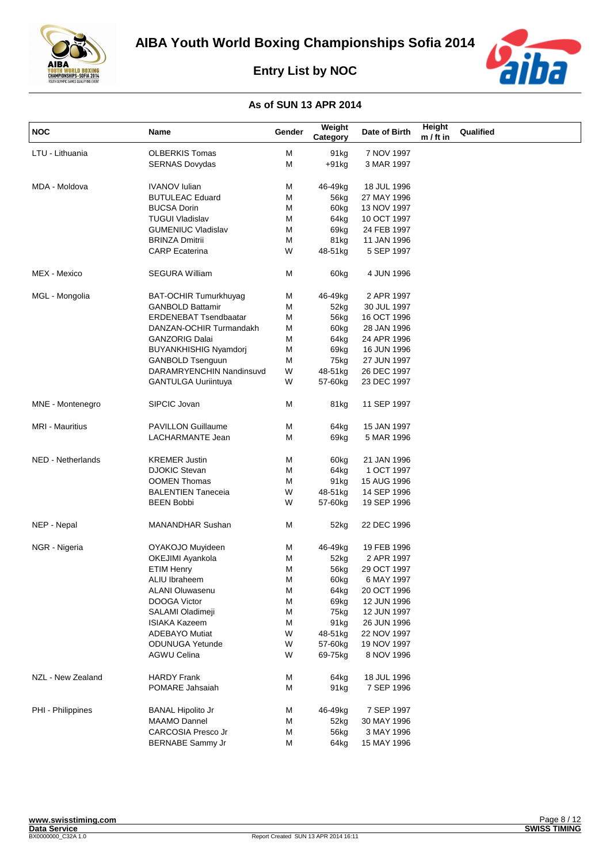



| NOC                    | Name                         | Gender | Weight<br>Category | Date of Birth | Height<br>$m / ft$ in | Qualified |
|------------------------|------------------------------|--------|--------------------|---------------|-----------------------|-----------|
| LTU - Lithuania        | <b>OLBERKIS Tomas</b>        | м      | 91 <sub>kg</sub>   | 7 NOV 1997    |                       |           |
|                        | <b>SERNAS Dovydas</b>        | Μ      | $+91kg$            | 3 MAR 1997    |                       |           |
| MDA - Moldova          | <b>IVANOV</b> Iulian         | м      | 46-49kg            | 18 JUL 1996   |                       |           |
|                        | <b>BUTULEAC Eduard</b>       | М      | 56kg               | 27 MAY 1996   |                       |           |
|                        | <b>BUCSA Dorin</b>           | М      | 60kg               | 13 NOV 1997   |                       |           |
|                        | <b>TUGUI Vladislav</b>       | Μ      | 64kg               | 10 OCT 1997   |                       |           |
|                        | <b>GUMENIUC Vladislav</b>    | М      | 69kg               | 24 FEB 1997   |                       |           |
|                        | <b>BRINZA Dmitrii</b>        | М      | 81kg               | 11 JAN 1996   |                       |           |
|                        | <b>CARP</b> Ecaterina        | W      | 48-51kg            | 5 SEP 1997    |                       |           |
| MEX - Mexico           | <b>SEGURA William</b>        | м      | 60kg               | 4 JUN 1996    |                       |           |
| MGL - Mongolia         | <b>BAT-OCHIR Tumurkhuyag</b> | Μ      | 46-49kg            | 2 APR 1997    |                       |           |
|                        | <b>GANBOLD Battamir</b>      | М      | 52kg               | 30 JUL 1997   |                       |           |
|                        | <b>ERDENEBAT Tsendbaatar</b> | Μ      | 56kg               | 16 OCT 1996   |                       |           |
|                        | DANZAN-OCHIR Turmandakh      | М      | 60kg               | 28 JAN 1996   |                       |           |
|                        | <b>GANZORIG Dalai</b>        | М      | 64kg               | 24 APR 1996   |                       |           |
|                        | <b>BUYANKHISHIG Nyamdorj</b> | М      | 69kg               | 16 JUN 1996   |                       |           |
|                        | <b>GANBOLD Tsenguun</b>      | М      | 75kg               | 27 JUN 1997   |                       |           |
|                        | DARAMRYENCHIN Nandinsuvd     | W      | 48-51kg            | 26 DEC 1997   |                       |           |
|                        | <b>GANTULGA Uuriintuya</b>   | W      | 57-60kg            | 23 DEC 1997   |                       |           |
| MNE - Montenegro       | SIPCIC Jovan                 | М      | 81kg               | 11 SEP 1997   |                       |           |
| <b>MRI - Mauritius</b> | PAVILLON Guillaume           | М      | 64kg               | 15 JAN 1997   |                       |           |
|                        | LACHARMANTE Jean             | М      | 69kg               | 5 MAR 1996    |                       |           |
| NED - Netherlands      | <b>KREMER Justin</b>         | М      | 60kg               | 21 JAN 1996   |                       |           |
|                        | <b>DJOKIC Stevan</b>         | М      | 64kg               | 1 OCT 1997    |                       |           |
|                        | <b>OOMEN Thomas</b>          | M      | 91kg               | 15 AUG 1996   |                       |           |
|                        | <b>BALENTIEN Taneceia</b>    | W      | 48-51kg            | 14 SEP 1996   |                       |           |
|                        | <b>BEEN Bobbi</b>            | W      | 57-60kg            | 19 SEP 1996   |                       |           |
| NEP - Nepal            | MANANDHAR Sushan             | М      | 52kg               | 22 DEC 1996   |                       |           |
| NGR - Nigeria          | OYAKOJO Muyideen             | м      | 46-49kg            | 19 FEB 1996   |                       |           |
|                        | OKEJIMI Ayankola             | M      | 52kg               | 2 APR 1997    |                       |           |
|                        | <b>ETIM Henry</b>            | М      | 56kg               | 29 OCT 1997   |                       |           |
|                        | ALIU Ibraheem                | M      | 60kg               | 6 MAY 1997    |                       |           |
|                        | ALANI Oluwasenu              | М      | 64kg               | 20 OCT 1996   |                       |           |
|                        | DOOGA Victor                 | Μ      | 69kg               | 12 JUN 1996   |                       |           |
|                        | SALAMI Oladimeji             | Μ      | 75kg               | 12 JUN 1997   |                       |           |
|                        | ISIAKA Kazeem                | М      | 91kg               | 26 JUN 1996   |                       |           |
|                        | <b>ADEBAYO Mutiat</b>        | W      | 48-51kg            | 22 NOV 1997   |                       |           |
|                        | <b>ODUNUGA Yetunde</b>       | W      | 57-60kg            | 19 NOV 1997   |                       |           |
|                        | AGWU Celina                  | W      | 69-75kg            | 8 NOV 1996    |                       |           |
| NZL - New Zealand      | HARDY Frank                  | M      | 64kg               | 18 JUL 1996   |                       |           |
|                        | POMARE Jahsaiah              | Μ      | 91kg               | 7 SEP 1996    |                       |           |
| PHI - Philippines      | <b>BANAL Hipolito Jr</b>     | M      | 46-49kg            | 7 SEP 1997    |                       |           |
|                        | <b>MAAMO Dannel</b>          | Μ      | 52kg               | 30 MAY 1996   |                       |           |
|                        | CARCOSIA Presco Jr           | М      | 56kg               | 3 MAY 1996    |                       |           |
|                        | BERNABE Sammy Jr             | Μ      | 64kg               | 15 MAY 1996   |                       |           |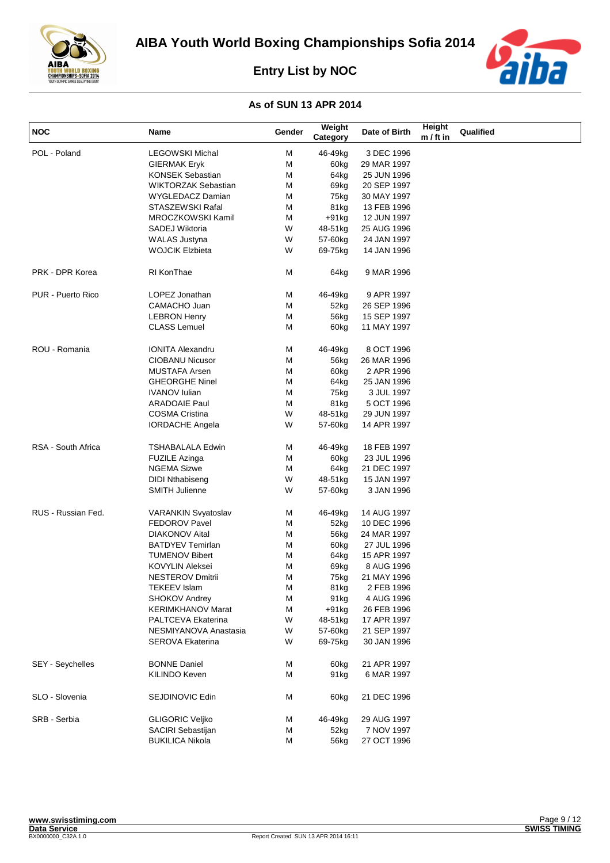



| <b>NOC</b>         | Name                       | Gender | Weight<br>Category | Date of Birth | Height<br>$m / ft$ in | Qualified |
|--------------------|----------------------------|--------|--------------------|---------------|-----------------------|-----------|
| POL - Poland       | <b>LEGOWSKI Michal</b>     | М      | 46-49kg            | 3 DEC 1996    |                       |           |
|                    | <b>GIERMAK Eryk</b>        | М      | 60kg               | 29 MAR 1997   |                       |           |
|                    | KONSEK Sebastian           | М      | 64kg               | 25 JUN 1996   |                       |           |
|                    | <b>WIKTORZAK Sebastian</b> | М      | 69kg               | 20 SEP 1997   |                       |           |
|                    | WYGLEDACZ Damian           | М      | 75kg               | 30 MAY 1997   |                       |           |
|                    | STASZEWSKI Rafal           | М      | 81kg               | 13 FEB 1996   |                       |           |
|                    | MROCZKOWSKI Kamil          | М      | $+91$ kg           | 12 JUN 1997   |                       |           |
|                    | SADEJ Wiktoria             | W      | 48-51kg            | 25 AUG 1996   |                       |           |
|                    | <b>WALAS Justyna</b>       | W      | 57-60kg            | 24 JAN 1997   |                       |           |
|                    | <b>WOJCIK Elzbieta</b>     | W      | 69-75kg            | 14 JAN 1996   |                       |           |
|                    |                            |        |                    |               |                       |           |
| PRK - DPR Korea    | RI KonThae                 | М      | 64kg               | 9 MAR 1996    |                       |           |
| PUR - Puerto Rico  | LOPEZ Jonathan             | М      | 46-49kg            | 9 APR 1997    |                       |           |
|                    | CAMACHO Juan               | М      | 52kg               | 26 SEP 1996   |                       |           |
|                    | <b>LEBRON Henry</b>        | М      | 56kg               | 15 SEP 1997   |                       |           |
|                    | <b>CLASS Lemuel</b>        | М      | 60kg               | 11 MAY 1997   |                       |           |
| ROU - Romania      | <b>IONITA Alexandru</b>    | М      | 46-49kg            | 8 OCT 1996    |                       |           |
|                    | <b>CIOBANU Nicusor</b>     | М      | 56kg               | 26 MAR 1996   |                       |           |
|                    | MUSTAFA Arsen              | М      | 60kg               | 2 APR 1996    |                       |           |
|                    | <b>GHEORGHE Ninel</b>      | М      | 64kg               | 25 JAN 1996   |                       |           |
|                    | <b>IVANOV Iulian</b>       | М      | 75kg               | 3 JUL 1997    |                       |           |
|                    | <b>ARADOAIE Paul</b>       | M      | 81kg               | 5 OCT 1996    |                       |           |
|                    | COSMA Cristina             | W      | 48-51kg            | 29 JUN 1997   |                       |           |
|                    | <b>IORDACHE Angela</b>     | W      | 57-60kg            | 14 APR 1997   |                       |           |
| RSA - South Africa | <b>TSHABALALA Edwin</b>    | М      | 46-49kg            | 18 FEB 1997   |                       |           |
|                    | <b>FUZILE Azinga</b>       | М      | 60kg               | 23 JUL 1996   |                       |           |
|                    | NGEMA Sizwe                | M      | 64kg               | 21 DEC 1997   |                       |           |
|                    | <b>DIDI Nthabiseng</b>     | W      | 48-51kg            | 15 JAN 1997   |                       |           |
|                    | SMITH Julienne             | W      | 57-60kg            | 3 JAN 1996    |                       |           |
| RUS - Russian Fed. | VARANKIN Svyatoslav        | М      | 46-49kg            | 14 AUG 1997   |                       |           |
|                    | <b>FEDOROV Pavel</b>       | М      | 52kg               | 10 DEC 1996   |                       |           |
|                    | <b>DIAKONOV Aital</b>      | М      | 56kg               | 24 MAR 1997   |                       |           |
|                    | <b>BATDYEV Temirlan</b>    | М      | 60kg               | 27 JUL 1996   |                       |           |
|                    | <b>TUMENOV Bibert</b>      | М      | 64kg               | 15 APR 1997   |                       |           |
|                    | KOVYLIN Aleksei            | М      | 69kg               | 8 AUG 1996    |                       |           |
|                    | NESTEROV Dmitrii           | М      | 75kg               | 21 MAY 1996   |                       |           |
|                    | <b>TEKEEV Islam</b>        | М      | 81kg               | 2 FEB 1996    |                       |           |
|                    | <b>SHOKOV Andrey</b>       | М      | 91 <sub>kg</sub>   | 4 AUG 1996    |                       |           |
|                    | <b>KERIMKHANOV Marat</b>   | М      | $+91kg$            | 26 FEB 1996   |                       |           |
|                    | PALTCEVA Ekaterina         | W      | 48-51kg            | 17 APR 1997   |                       |           |
|                    | NESMIYANOVA Anastasia      | W      | 57-60kg            | 21 SEP 1997   |                       |           |
|                    | <b>SEROVA Ekaterina</b>    | W      | 69-75kg            | 30 JAN 1996   |                       |           |
| SEY - Seychelles   | <b>BONNE Daniel</b>        |        |                    | 21 APR 1997   |                       |           |
|                    |                            | М      | 60kg               |               |                       |           |
|                    | KILINDO Keven              | М      | 91 <sub>kg</sub>   | 6 MAR 1997    |                       |           |
| SLO - Slovenia     | SEJDINOVIC Edin            | Μ      | 60kg               | 21 DEC 1996   |                       |           |
| SRB - Serbia       | <b>GLIGORIC Veljko</b>     | M      | 46-49kg            | 29 AUG 1997   |                       |           |
|                    | SACIRI Sebastijan          | М      | 52kg               | 7 NOV 1997    |                       |           |
|                    | <b>BUKILICA Nikola</b>     | М      | 56kg               | 27 OCT 1996   |                       |           |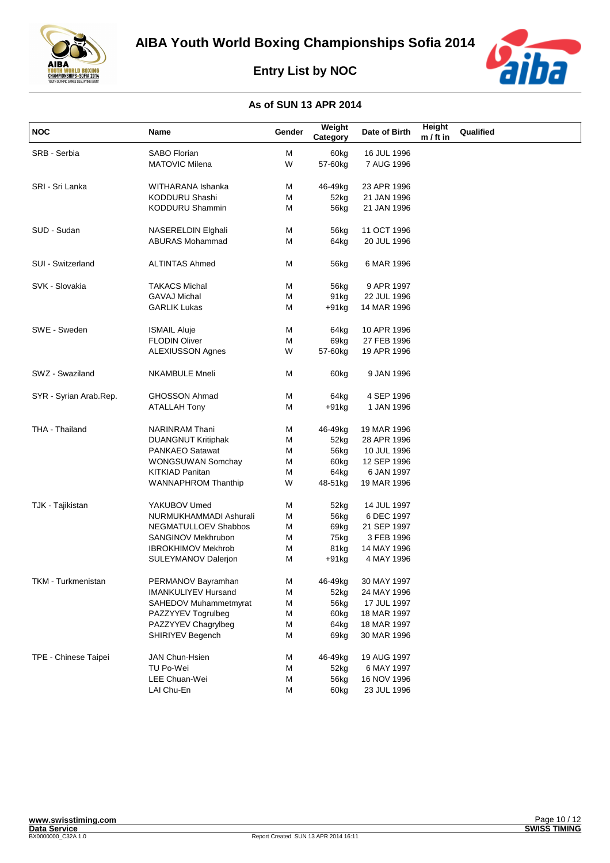





| <b>NOC</b>             | Name                       | Gender | Weight<br>Category | Date of Birth | Height<br>$m / ft$ in | Qualified |
|------------------------|----------------------------|--------|--------------------|---------------|-----------------------|-----------|
| SRB - Serbia           | <b>SABO Florian</b>        | M      | 60kg               | 16 JUL 1996   |                       |           |
|                        | <b>MATOVIC Milena</b>      | W      | 57-60kg            | 7 AUG 1996    |                       |           |
|                        |                            |        |                    |               |                       |           |
| SRI - Sri Lanka        | WITHARANA Ishanka          | M      | 46-49kg            | 23 APR 1996   |                       |           |
|                        | KODDURU Shashi             | M      | 52kg               | 21 JAN 1996   |                       |           |
|                        | KODDURU Shammin            | M      | 56kg               | 21 JAN 1996   |                       |           |
| SUD - Sudan            | NASERELDIN Elghali         | M      | 56kg               | 11 OCT 1996   |                       |           |
|                        | <b>ABURAS Mohammad</b>     | M      | 64kg               | 20 JUL 1996   |                       |           |
| SUI - Switzerland      | <b>ALTINTAS Ahmed</b>      | M      | 56kg               | 6 MAR 1996    |                       |           |
|                        |                            |        |                    |               |                       |           |
| SVK - Slovakia         | <b>TAKACS Michal</b>       | М      | 56kg               | 9 APR 1997    |                       |           |
|                        | <b>GAVAJ Michal</b>        | М      | 91kg               | 22 JUL 1996   |                       |           |
|                        | <b>GARLIK Lukas</b>        | М      | +91kg              | 14 MAR 1996   |                       |           |
| SWE - Sweden           | <b>ISMAIL Aluje</b>        | M      | 64kg               | 10 APR 1996   |                       |           |
|                        | <b>FLODIN Oliver</b>       | M      | 69kg               | 27 FEB 1996   |                       |           |
|                        | <b>ALEXIUSSON Agnes</b>    | W      | 57-60kg            | 19 APR 1996   |                       |           |
| SWZ - Swaziland        | <b>NKAMBULE Mneli</b>      | M      | 60kg               | 9 JAN 1996    |                       |           |
| SYR - Syrian Arab.Rep. | <b>GHOSSON Ahmad</b>       | М      | 64kg               | 4 SEP 1996    |                       |           |
|                        | <b>ATALLAH Tony</b>        | М      | $+91kg$            | 1 JAN 1996    |                       |           |
| THA - Thailand         | <b>NARINRAM</b> Thani      | M      | 46-49kg            | 19 MAR 1996   |                       |           |
|                        | <b>DUANGNUT Kritiphak</b>  | М      | 52kg               | 28 APR 1996   |                       |           |
|                        | PANKAEO Satawat            | M      | 56kg               | 10 JUL 1996   |                       |           |
|                        | WONGSUWAN Somchay          | M      | 60kg               | 12 SEP 1996   |                       |           |
|                        | <b>KITKIAD Panitan</b>     | M      | 64kg               | 6 JAN 1997    |                       |           |
|                        | WANNAPHROM Thanthip        | W      | 48-51kg            | 19 MAR 1996   |                       |           |
| TJK - Tajikistan       | YAKUBOV Umed               | M      | 52kg               | 14 JUL 1997   |                       |           |
|                        | NURMUKHAMMADI Ashurali     | M      | 56kg               | 6 DEC 1997    |                       |           |
|                        | NEGMATULLOEV Shabbos       | М      | 69kg               | 21 SEP 1997   |                       |           |
|                        | SANGINOV Mekhrubon         | М      | 75kg               | 3 FEB 1996    |                       |           |
|                        | <b>IBROKHIMOV Mekhrob</b>  | M      | 81kg               | 14 MAY 1996   |                       |           |
|                        | SULEYMANOV Dalerjon        | M      | +91kg              | 4 MAY 1996    |                       |           |
| TKM - Turkmenistan     | PERMANOV Bayramhan         | M      | 46-49kg            | 30 MAY 1997   |                       |           |
|                        | <b>IMANKULIYEV Hursand</b> | M      | 52kg               | 24 MAY 1996   |                       |           |
|                        | SAHEDOV Muhammetmyrat      | M      | 56kg               | 17 JUL 1997   |                       |           |
|                        | PAZZYYEV Togrulbeg         | M      | 60kg               | 18 MAR 1997   |                       |           |
|                        | PAZZYYEV Chagrylbeg        | M      | 64kg               | 18 MAR 1997   |                       |           |
|                        | SHIRIYEV Begench           | М      | 69kg               | 30 MAR 1996   |                       |           |
|                        |                            |        |                    |               |                       |           |
| TPE - Chinese Taipei   | JAN Chun-Hsien             | M      | 46-49kg            | 19 AUG 1997   |                       |           |
|                        | TU Po-Wei                  | М      | 52kg               | 6 MAY 1997    |                       |           |
|                        | LEE Chuan-Wei              | М      | 56kg               | 16 NOV 1996   |                       |           |
|                        | LAI Chu-En                 | М      | 60kg               | 23 JUL 1996   |                       |           |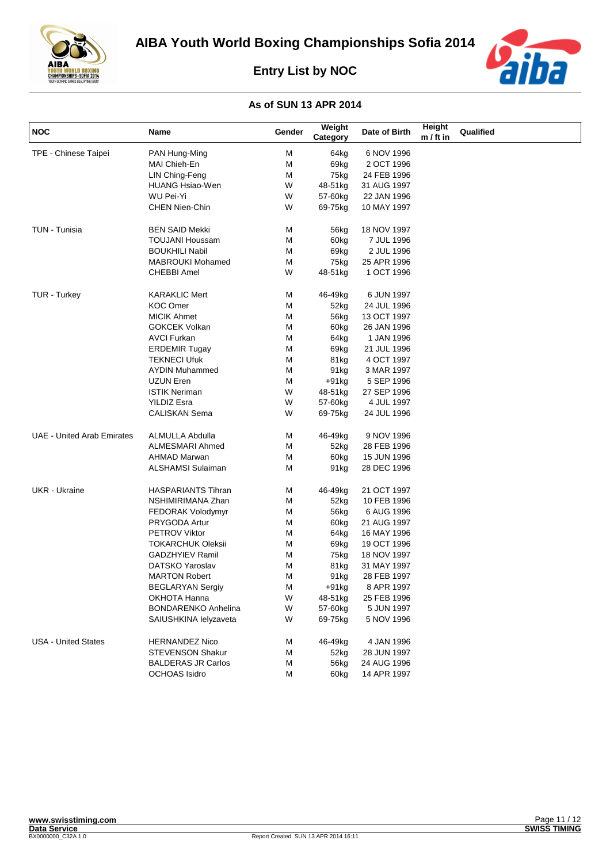



| <b>NOC</b>                        | Name                       | Gender | Weight<br>Category | Date of Birth | Height<br>$m / ft$ in | Qualified |
|-----------------------------------|----------------------------|--------|--------------------|---------------|-----------------------|-----------|
| TPE - Chinese Taipei              | PAN Hung-Ming              | Μ      | 64kg               | 6 NOV 1996    |                       |           |
|                                   | MAI Chieh-En               | M      | 69kg               | 2 OCT 1996    |                       |           |
|                                   | LIN Ching-Feng             | М      | 75kg               | 24 FEB 1996   |                       |           |
|                                   | <b>HUANG Hsiao-Wen</b>     | W      | 48-51kg            | 31 AUG 1997   |                       |           |
|                                   | WU Pei-Yi                  | W      | 57-60kg            | 22 JAN 1996   |                       |           |
|                                   | <b>CHEN Nien-Chin</b>      | W      | 69-75kg            | 10 MAY 1997   |                       |           |
| TUN - Tunisia                     | <b>BEN SAID Mekki</b>      | Μ      | 56kg               | 18 NOV 1997   |                       |           |
|                                   | <b>TOUJANI Houssam</b>     | Μ      | 60kg               | 7 JUL 1996    |                       |           |
|                                   | <b>BOUKHILI Nabil</b>      | Μ      | 69kg               | 2 JUL 1996    |                       |           |
|                                   | MABROUKI Mohamed           | М      | 75kg               | 25 APR 1996   |                       |           |
|                                   | <b>CHEBBI Amel</b>         | W      | 48-51kg            | 1 OCT 1996    |                       |           |
| <b>TUR - Turkey</b>               | <b>KARAKLIC Mert</b>       | М      | 46-49kg            | 6 JUN 1997    |                       |           |
|                                   | <b>KOC Omer</b>            | М      | 52kg               | 24 JUL 1996   |                       |           |
|                                   | <b>MICIK Ahmet</b>         | М      | 56kg               | 13 OCT 1997   |                       |           |
|                                   | <b>GOKCEK Volkan</b>       | М      | 60kg               | 26 JAN 1996   |                       |           |
|                                   | <b>AVCI Furkan</b>         | М      | 64kg               | 1 JAN 1996    |                       |           |
|                                   | <b>ERDEMIR Tugay</b>       | Μ      | 69kg               | 21 JUL 1996   |                       |           |
|                                   | <b>TEKNECI Ufuk</b>        | М      | 81kg               | 4 OCT 1997    |                       |           |
|                                   | <b>AYDIN Muhammed</b>      | М      | 91 <sub>kg</sub>   | 3 MAR 1997    |                       |           |
|                                   | UZUN Eren                  | М      | $+91kg$            | 5 SEP 1996    |                       |           |
|                                   | <b>ISTIK Neriman</b>       | W      | 48-51kg            | 27 SEP 1996   |                       |           |
|                                   | <b>YILDIZ Esra</b>         | W      | 57-60kg            | 4 JUL 1997    |                       |           |
|                                   | <b>CALISKAN Sema</b>       | W      | 69-75kg            | 24 JUL 1996   |                       |           |
| <b>UAE - United Arab Emirates</b> | ALMULLA Abdulla            | М      | 46-49kg            | 9 NOV 1996    |                       |           |
|                                   | ALMESMARI Ahmed            | Μ      | 52kg               | 28 FEB 1996   |                       |           |
|                                   | <b>AHMAD Marwan</b>        | Μ      | 60kg               | 15 JUN 1996   |                       |           |
|                                   | ALSHAMSI Sulaiman          | М      | 91 <sub>kg</sub>   | 28 DEC 1996   |                       |           |
| <b>UKR</b> - Ukraine              | <b>HASPARIANTS Tihran</b>  | М      | 46-49kg            | 21 OCT 1997   |                       |           |
|                                   | NSHIMIRIMANA Zhan          | Μ      | 52kg               | 10 FEB 1996   |                       |           |
|                                   | FEDORAK Volodymyr          | М      | 56kg               | 6 AUG 1996    |                       |           |
|                                   | PRYGODA Artur              | М      | 60kg               | 21 AUG 1997   |                       |           |
|                                   | <b>PETROV Viktor</b>       | Μ      | 64kg               | 16 MAY 1996   |                       |           |
|                                   | <b>TOKARCHUK Oleksii</b>   | М      | 69kg               | 19 OCT 1996   |                       |           |
|                                   | <b>GADZHYIEV Ramil</b>     | М      | 75kg               | 18 NOV 1997   |                       |           |
|                                   | DATSKO Yaroslav            | М      | 81kg               | 31 MAY 1997   |                       |           |
|                                   | <b>MARTON Robert</b>       | м      | 91 <sub>kg</sub>   | 28 FEB 1997   |                       |           |
|                                   | <b>BEGLARYAN Sergiy</b>    | М      | $+91kg$            | 8 APR 1997    |                       |           |
|                                   | OKHOTA Hanna               | W      | 48-51kg            | 25 FEB 1996   |                       |           |
|                                   | <b>BONDARENKO Anhelina</b> | W      | 57-60kg            | 5 JUN 1997    |                       |           |
|                                   | SAIUSHKINA lelyzaveta      | W      | 69-75kg            | 5 NOV 1996    |                       |           |
| <b>USA - United States</b>        | <b>HERNANDEZ Nico</b>      | М      | 46-49kg            | 4 JAN 1996    |                       |           |
|                                   | STEVENSON Shakur           | M      | 52kg               | 28 JUN 1997   |                       |           |
|                                   | <b>BALDERAS JR Carlos</b>  | М      | 56kg               | 24 AUG 1996   |                       |           |
|                                   | <b>OCHOAS Isidro</b>       | М      | 60kg               | 14 APR 1997   |                       |           |